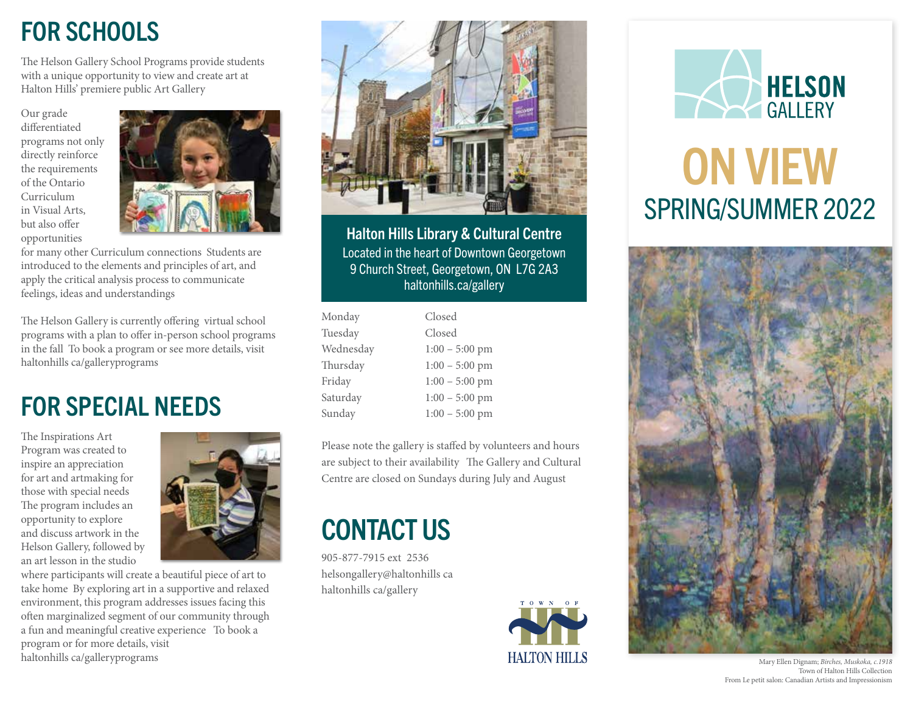## FOR SCHOOLS

 Halton Hills' premiere public Art Gallery The Helson Gallery School Programs provide students with a unique opportunity to view and create art at

Our grade diferentiated programs not only directly reinforce the requirements of the Ontario Curriculum in Visual Arts, but also offer opportunities



 for many other Curriculum connections Students are feelings, ideas and understandings introduced to the elements and principles of art, and apply the critical analysis process to communicate

 in the fall To book a program or see more details, visit haltonhills ca/galleryprograms The Helson Gallery is currently offering virtual school programs with a plan to offer in-person school programs

### FOR SPECIAL NEEDS

those with special needs The Inspirations Art Program was created to inspire an appreciation for art and artmaking for The program includes an opportunity to explore and discuss artwork in the Helson Gallery, followed by an art lesson in the studio

 take home By exploring art in a supportive and relaxed a fun and meaningful creative experience To book a haltonhills ca/galleryprograms where participants will create a beautiful piece of art to environment, this program addresses issues facing this ofen marginalized segment of our community through program or for more details, visit





Halton Hills Library & Cultural Centre Located in the heart of Downtown Georgetown 9 Church Street, Georgetown, ON L7G 2A3 haltonhills.ca/gallery

| Monday    | Closed           |
|-----------|------------------|
| Tuesday   | Closed           |
| Wednesday | $1:00 - 5:00$ pm |
| Thursday  | $1:00 - 5:00$ pm |
| Friday    | $1:00 - 5:00$ pm |
| Saturday  | $1:00 - 5:00$ pm |
| Sunday    | $1:00 - 5:00$ pm |

are subject to their availability The Gallery and Cultural Centre are closed on Sundays during July and August Please note the gallery is stafed by volunteers and hours

### CONTACT US

 905-877-7915 ext 2536 helsongallery@haltonhills ca haltonhills ca/gallery





# ON VIEW SPRING/SUMMER 2022



Mary Ellen Dignam; *Birches, Muskoka, c.1918*  Town of Halton Hills Collection From Le petit salon: Canadian Artists and Impressionism